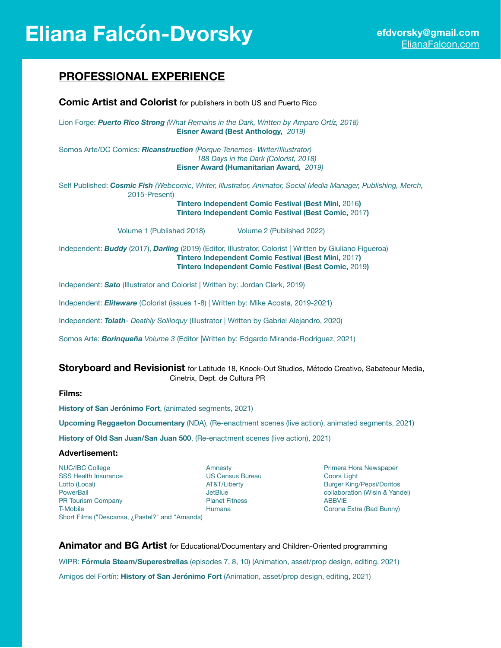# **Eliana Falcón-Dvorsky [efdvorsky@gmail.com](mailto:efdvorsky@gmail.com)**

# **PROFESSIONAL EXPERIENCE**

| <b>Comic Artist and Colorist</b> for publishers in both US and Puerto Rico                                                                                                                                                                                     |
|----------------------------------------------------------------------------------------------------------------------------------------------------------------------------------------------------------------------------------------------------------------|
| Lion Forge: <b>Puerto Rico Strong</b> (What Remains in the Dark, Written by Amparo Ortíz, 2018)<br>Eisner Award (Best Anthology, 2019)                                                                                                                         |
| Somos Arte/DC Comics: <b>Ricanstruction</b> (Porque Tenemos- Writer/Illustrator)<br>188 Days in the Dark (Colorist, 2018)<br><b>Eisner Award (Humanitarian Award, 2019)</b>                                                                                    |
| Self Published: Cosmic Fish (Webcomic, Writer, Illustrator, Animator, Social Media Manager, Publishing, Merch,<br>2015-Present)<br><b>Tintero Independent Comic Festival (Best Mini, 2016)</b><br><b>Tintero Independent Comic Festival (Best Comic, 2017)</b> |
| Volume 1 (Published 2018)<br>Volume 2 (Published 2022)                                                                                                                                                                                                         |
| Independent: <b>Buddy</b> (2017), <b>Darling</b> (2019) (Editor, Illustrator, Colorist   Written by Giuliano Figueroa)<br><b>Tintero Independent Comic Festival (Best Mini, 2017)</b><br><b>Tintero Independent Comic Festival (Best Comic, 2019)</b>          |
| Independent: Sato (Illustrator and Colorist   Written by: Jordan Clark, 2019)                                                                                                                                                                                  |

Independent: *Eliteware* (Colorist (issues 1-8) | Written by: Mike Acosta, 2019-2021)

Independent: *Tolath- Deathly Soliloquy* (Illustrator | Written by Gabriel Alejandro, 2020)

Somos Arte: *Borinqueña Volume 3* (Editor |Written by: Edgardo Miranda-Rodríguez, 2021)

# **Storyboard and Revisionist** for Latitude 18, Knock-Out Studios, Método Creativo, Sabateour Media, Cinetrix, Dept. de Cultura PR

## **Films:**

**History of San Jerónimo Fort**, (animated segments, 2021)

**Upcoming Reggaeton Documentary** (NDA), (Re-enactment scenes (live action), animated segments, 2021)

**History of Old San Juan/San Juan 500**, (Re-enactment scenes (live action), 2021)

#### **Advertisement:**

NUC/IBC College **Xero College** Amnesty **Amnesty Amnesty Research Amnesty Primera Hora Newspaper** SSS Health Insurance US Census Bureau Coors Light Lotto (Local) **AT&T/Liberty Burger King/Pepsi/Doritos Contact AT&T/Liberty Burger King/Pepsi/Doritos** PowerBall **Defension Collaboration (Wisin & Yandel)** JetBlue *Collaboration (Wisin & Yandel***)** PR Tourism Company **Branch Company Planet Fitness COMPANY ABBVIE** T-Mobile **T-Mobile** *Mercey Corona Extra (Bad Bunny)* **Humana**  *Corona Extra (Bad Bunny)* Short Films ("Descansa, ¿Pastel?" and "Amanda)

#### **Animator and BG Artist** for Educational/Documentary and Children-Oriented programming

WIPR: **Fórmula Steam/Superestrellas** (episodes 7, 8, 10) (Animation, asset/prop design, editing, 2021) Amigos del Fortín: **History of San Jerónimo Fort** (Animation, asset/prop design, editing, 2021)